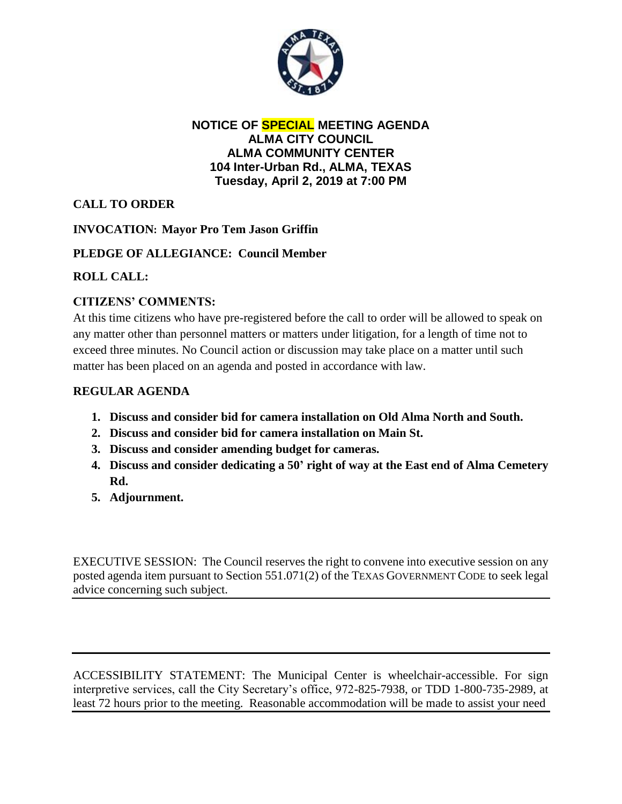

#### **NOTICE OF SPECIAL MEETING AGENDA ALMA CITY COUNCIL ALMA COMMUNITY CENTER 104 Inter-Urban Rd., ALMA, TEXAS Tuesday, April 2, 2019 at 7:00 PM**

# **CALL TO ORDER**

## **INVOCATION: Mayor Pro Tem Jason Griffin**

## **PLEDGE OF ALLEGIANCE: Council Member**

## **ROLL CALL:**

## **CITIZENS' COMMENTS:**

At this time citizens who have pre-registered before the call to order will be allowed to speak on any matter other than personnel matters or matters under litigation, for a length of time not to exceed three minutes. No Council action or discussion may take place on a matter until such matter has been placed on an agenda and posted in accordance with law.

## **REGULAR AGENDA**

- **1. Discuss and consider bid for camera installation on Old Alma North and South.**
- **2. Discuss and consider bid for camera installation on Main St.**
- **3. Discuss and consider amending budget for cameras.**
- **4. Discuss and consider dedicating a 50' right of way at the East end of Alma Cemetery Rd.**
- **5. Adjournment.**

EXECUTIVE SESSION: The Council reserves the right to convene into executive session on any posted agenda item pursuant to Section 551.071(2) of the TEXAS GOVERNMENT CODE to seek legal advice concerning such subject.

ACCESSIBILITY STATEMENT: The Municipal Center is wheelchair-accessible. For sign interpretive services, call the City Secretary's office, 972-825-7938, or TDD 1-800-735-2989, at least 72 hours prior to the meeting. Reasonable accommodation will be made to assist your need